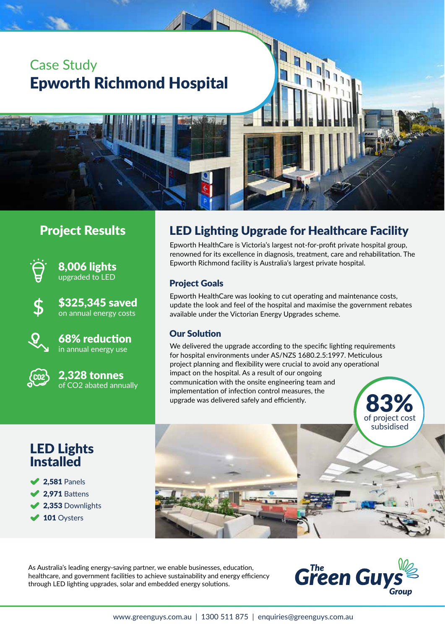# Case Study Epworth Richmond Hospital

### Project Results



8,006 lights upgraded to LED

\$325,345 saved on annual energy costs



68% reduction in annual energy use



2,328 tonnes of CO2 abated annually

## LED Lighting Upgrade for Healthcare Facility

Epworth HealthCare is Victoria's largest not-for-profit private hospital group, renowned for its excellence in diagnosis, treatment, care and rehabilitation. The Epworth Richmond facility is Australia's largest private hospital.

#### Project Goals

Epworth HealthCare was looking to cut operating and maintenance costs, update the look and feel of the hospital and maximise the government rebates available under the Victorian Energy Upgrades scheme.

#### Our Solution

We delivered the upgrade according to the specific lighting requirements for hospital environments under AS/NZS 1680.2.5:1997. Meticulous project planning and flexibility were crucial to avoid any operational impact on the hospital. As a result of our ongoing communication with the onsite engineering team and implementation of infection control measures, the upgrade was delivered safely and efficiently.

## LED Lights **Installed**

**2.581 Panels**  $\blacktriangleright$  2,971 Battens 2,353 Downlights ◆ 101 Oysters



As Australia's leading energy-saving partner, we enable businesses, education, healthcare, and government facilities to achieve sustainability and energy efficiency through LED lighting upgrades, solar and embedded energy solutions.